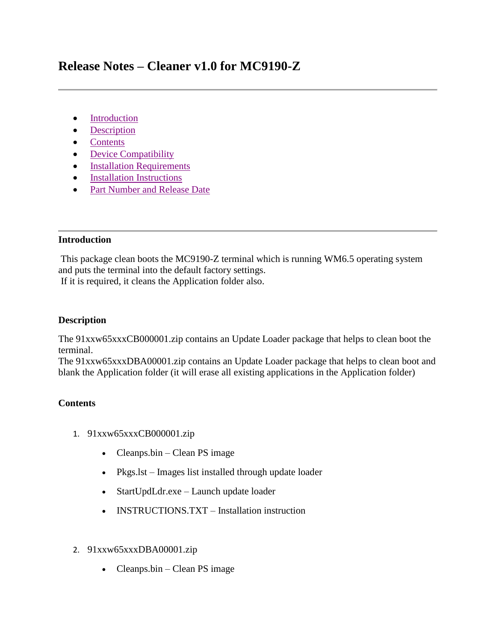- [Introduction](https://atgsupportcentral.motorolasolutions.com/content/emb/docs/ReleaseNotes/Release_Notes_for_MC919Z_CleanerPackage_1.htm#Introduction)
- [Description](https://atgsupportcentral.motorolasolutions.com/content/emb/docs/ReleaseNotes/Release_Notes_for_MC919Z_CleanerPackage_1.htm#Description)
- [Contents](https://atgsupportcentral.motorolasolutions.com/content/emb/docs/ReleaseNotes/Release_Notes_for_MC919Z_CleanerPackage_1.htm#Contents)
- Device [Compatibility](https://atgsupportcentral.motorolasolutions.com/content/emb/docs/ReleaseNotes/Release_Notes_for_MC919Z_CleanerPackage_1.htm#Compatibility_)
- Installation [Requirements](https://atgsupportcentral.motorolasolutions.com/content/emb/docs/ReleaseNotes/Release_Notes_for_MC919Z_CleanerPackage_1.htm#Installation_Requirements)
- [Installation Instructions](https://atgsupportcentral.motorolasolutions.com/content/emb/docs/ReleaseNotes/Release_Notes_for_MC919Z_CleanerPackage_1.htm#Installation_Instructions)
- Part Number [and Release Date](https://atgsupportcentral.motorolasolutions.com/content/emb/docs/ReleaseNotes/Release_Notes_for_MC919Z_CleanerPackage_1.htm#Document_Number_/_Revision_/_Release_Dat)

## **Introduction**

This package clean boots the MC9190-Z terminal which is running WM6.5 operating system and puts the terminal into the default factory settings. If it is required, it cleans the Application folder also.

**Description**

The 91xxw65xxxCB000001.zip contains an Update Loader package that helps to clean boot the terminal.

The 91xxw65xxxDBA00001.zip contains an Update Loader package that helps to clean boot and blank the Application folder (it will erase all existing applications in the Application folder)

# **Contents**

- 1. 91xxw65xxxCB000001.zip
	- Cleanps.bin Clean PS image
	- Pkgs.lst Images list installed through update loader
	- StartUpdLdr.exe Launch update loader
	- INSTRUCTIONS.TXT Installation instruction
- 2. 91xxw65xxxDBA00001.zip
	- Cleanps.bin Clean PS image